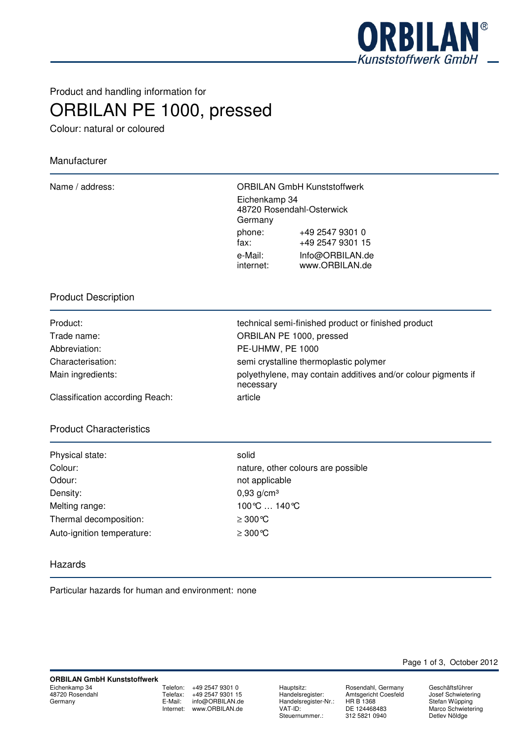

Product and handling information for

ORBILAN PE 1000, pressed

Colour: natural or coloured

# Manufacturer

| Name / address: |                          | <b>ORBILAN GmbH Kunststoffwerk</b>  |
|-----------------|--------------------------|-------------------------------------|
|                 | Eichenkamp 34<br>Germany | 48720 Rosendahl-Osterwick           |
|                 | phone:<br>fax:           | +49 2547 9301 0<br>+49 2547 9301 15 |
|                 | e-Mail:<br>internet:     | Info@ORBILAN.de<br>www.ORBILAN.de   |

## Product Description

| Product:          |
|-------------------|
| Trade name:       |
| Abbreviation:     |
| Characterisation: |
| Main ingredients: |
|                   |

technical semi-finished product or finished product ORBILAN PE 1000, pressed PE-UHMW, PE 1000 semi crystalline thermoplastic polymer polyethylene, may contain additives and/or colour pigments if necessary

Classification according Reach: article

## Product Characteristics

| Physical state:            | solid      |
|----------------------------|------------|
| Colour:                    | natur      |
| Odour:                     | not a      |
| Density:                   | 0,93       |
| Melting range:             | 100 ℃      |
| Thermal decomposition:     | $\geq 300$ |
| Auto-ignition temperature: | $\geq$ 300 |

nature, other colours are possible not applicable  $0,93$  g/cm<sup>3</sup> 100℃ ... 140℃  $≥ 300 °C$  $≥ 300 °C$ 

#### Hazards

Particular hazards for human and environment: none

Telefon: +49 2547 9301 0 Telefax: +49 2547 9301 15<br>E-Mail: info@ORBILAN.de info@ORBILAN.de Internet: www.ORBILAN.de

Hauptsitz: Rosendahl, Germany<br>Handelsregister: Amtsgericht Coesfeld Handelsregister-Nr.:<br>VAT-ID: Steuernummer.:

Amtsgericht Coesfeld<br>HR B 1368 DE 124468483<br>312 5821 0940

Page 1 of 3, October 2012

Geschäftsführer Josef Schwietering Stefan Wüpping Marco Schwietering Detlev Nöldge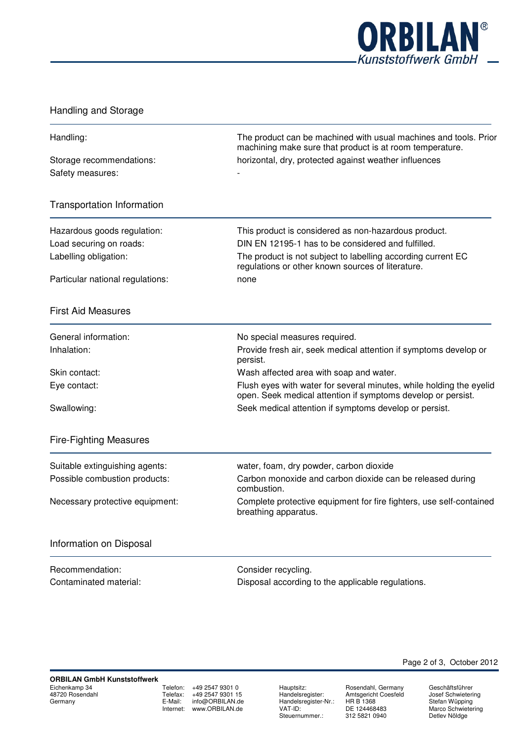

# Handling and Storage

| Handling:                                        | The product can be machined with usual machines and tools. Prior<br>machining make sure that product is at room temperature.<br>horizontal, dry, protected against weather influences |  |
|--------------------------------------------------|---------------------------------------------------------------------------------------------------------------------------------------------------------------------------------------|--|
| Storage recommendations:<br>Safety measures:     |                                                                                                                                                                                       |  |
| <b>Transportation Information</b>                |                                                                                                                                                                                       |  |
| Hazardous goods regulation:                      | This product is considered as non-hazardous product.                                                                                                                                  |  |
| Load securing on roads:<br>Labelling obligation: | DIN EN 12195-1 has to be considered and fulfilled.<br>The product is not subject to labelling according current EC<br>regulations or other known sources of literature.               |  |
| Particular national regulations:                 | none                                                                                                                                                                                  |  |
| <b>First Aid Measures</b>                        |                                                                                                                                                                                       |  |
| General information:                             | No special measures required.                                                                                                                                                         |  |
| Inhalation:                                      | Provide fresh air, seek medical attention if symptoms develop or<br>persist.                                                                                                          |  |
| Skin contact:                                    | Wash affected area with soap and water.                                                                                                                                               |  |
| Eye contact:                                     | Flush eyes with water for several minutes, while holding the eyelid<br>open. Seek medical attention if symptoms develop or persist.                                                   |  |
| Swallowing:                                      | Seek medical attention if symptoms develop or persist.                                                                                                                                |  |
| <b>Fire-Fighting Measures</b>                    |                                                                                                                                                                                       |  |
| Suitable extinguishing agents:                   | water, foam, dry powder, carbon dioxide                                                                                                                                               |  |
| Possible combustion products:                    | Carbon monoxide and carbon dioxide can be released during<br>combustion.                                                                                                              |  |
| Necessary protective equipment:                  | Complete protective equipment for fire fighters, use self-contained<br>breathing apparatus.                                                                                           |  |
| Information on Disposal                          |                                                                                                                                                                                       |  |
| Recommendation:                                  | Consider recycling.                                                                                                                                                                   |  |
| Contaminated material:                           | Disposal according to the applicable regulations.                                                                                                                                     |  |
|                                                  |                                                                                                                                                                                       |  |

Telefon: +49 2547 9301 0<br>Telefax: +49 2547 9301 15  $+49\,2547\,9301\,15$ E-Mail: info@ORBILAN.de Internet: www.ORBILAN.de

Hauptsitz: Rosendahl, Germany<br>Handelsregister: Amtsgericht Coesfeld Handelsregister-Nr.:<br>VAT-ID: Steuernummer.:

Hosendam, Germany<br>Amtsgericht Coesfeld<br>HR B 1368 DE 124468483<br>312 5821 0940

Geschäftsführer Josef Schwietering Stefan Wüpping Marco Schwietering Detlev Nöldge

Page 2 of 3, October 2012